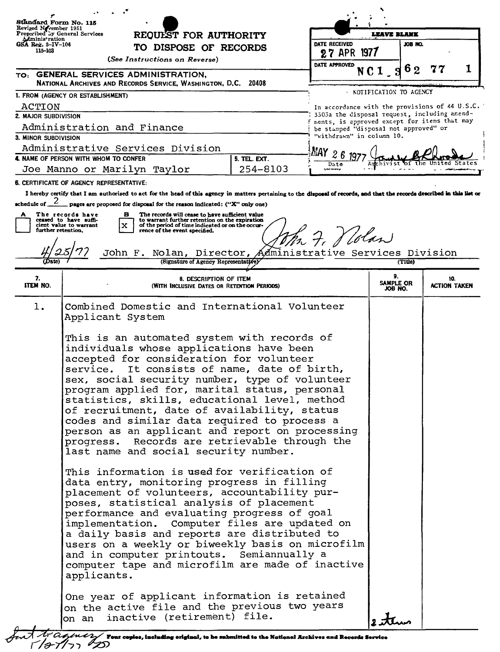| Ståndard Form No. 115                                               |                                                                                                                                                                                                                                                                                                                                                                                                                                                                                                                                                                                                                                                                                                                                                                                                                                                                                                                                                                                                                                                                                                                                                                            |                         |                                                                    |         |                                                                                                |   |  |
|---------------------------------------------------------------------|----------------------------------------------------------------------------------------------------------------------------------------------------------------------------------------------------------------------------------------------------------------------------------------------------------------------------------------------------------------------------------------------------------------------------------------------------------------------------------------------------------------------------------------------------------------------------------------------------------------------------------------------------------------------------------------------------------------------------------------------------------------------------------------------------------------------------------------------------------------------------------------------------------------------------------------------------------------------------------------------------------------------------------------------------------------------------------------------------------------------------------------------------------------------------|-------------------------|--------------------------------------------------------------------|---------|------------------------------------------------------------------------------------------------|---|--|
| Reviged Nevember 1951<br>Pregeribed by General Services             | REQUEST FOR AUTHORITY                                                                                                                                                                                                                                                                                                                                                                                                                                                                                                                                                                                                                                                                                                                                                                                                                                                                                                                                                                                                                                                                                                                                                      |                         | <b>LEAVE BLANK</b>                                                 |         |                                                                                                |   |  |
| Aministration<br>GSA Reg. 8-IV-106<br>115-103                       | TO DISPOSE OF RECORDS                                                                                                                                                                                                                                                                                                                                                                                                                                                                                                                                                                                                                                                                                                                                                                                                                                                                                                                                                                                                                                                                                                                                                      | DATE RECEIVED           | JOB NO.<br>1977                                                    |         |                                                                                                |   |  |
|                                                                     | (See Instructions on Reverse)                                                                                                                                                                                                                                                                                                                                                                                                                                                                                                                                                                                                                                                                                                                                                                                                                                                                                                                                                                                                                                                                                                                                              | 27 APR<br>DATE APPROVED |                                                                    |         |                                                                                                |   |  |
|                                                                     | TO: GENERAL SERVICES ADMINISTRATION,                                                                                                                                                                                                                                                                                                                                                                                                                                                                                                                                                                                                                                                                                                                                                                                                                                                                                                                                                                                                                                                                                                                                       |                         | NC <sub>1</sub><br>Я                                               | 62      |                                                                                                | 1 |  |
| NATIONAL ARCHIVES AND RECORDS SERVICE, WASHINGTON, D.C. 20408       |                                                                                                                                                                                                                                                                                                                                                                                                                                                                                                                                                                                                                                                                                                                                                                                                                                                                                                                                                                                                                                                                                                                                                                            |                         |                                                                    |         |                                                                                                |   |  |
| 1. FROM (AGENCY OR ESTABLISHMENT)                                   |                                                                                                                                                                                                                                                                                                                                                                                                                                                                                                                                                                                                                                                                                                                                                                                                                                                                                                                                                                                                                                                                                                                                                                            |                         | - NOTIFICATION TO AGENCY                                           |         |                                                                                                |   |  |
| ACTION                                                              |                                                                                                                                                                                                                                                                                                                                                                                                                                                                                                                                                                                                                                                                                                                                                                                                                                                                                                                                                                                                                                                                                                                                                                            |                         |                                                                    |         | In accordance with the provisions of 44 U.S.C.<br>3503a the disposal request, including amend- |   |  |
| 2. MAJOR SUBDIVISION<br>Administration and Finance                  |                                                                                                                                                                                                                                                                                                                                                                                                                                                                                                                                                                                                                                                                                                                                                                                                                                                                                                                                                                                                                                                                                                                                                                            |                         |                                                                    |         | ments, is approved except for items that may                                                   |   |  |
| 3. MINOR SUBDIVISION                                                |                                                                                                                                                                                                                                                                                                                                                                                                                                                                                                                                                                                                                                                                                                                                                                                                                                                                                                                                                                                                                                                                                                                                                                            |                         | be stamped "disposal not approved" or<br>"withdrawn" in column 10. |         |                                                                                                |   |  |
| Administrative Services Division<br>МАҮ                             |                                                                                                                                                                                                                                                                                                                                                                                                                                                                                                                                                                                                                                                                                                                                                                                                                                                                                                                                                                                                                                                                                                                                                                            |                         |                                                                    |         |                                                                                                |   |  |
| 26<br>4. NAME OF PERSON WITH WHOM TO CONFER<br>5. TEL. EXT.<br>Date |                                                                                                                                                                                                                                                                                                                                                                                                                                                                                                                                                                                                                                                                                                                                                                                                                                                                                                                                                                                                                                                                                                                                                                            |                         |                                                                    |         |                                                                                                |   |  |
| 254-8103<br>Joe Manno or Marilyn Taylor                             |                                                                                                                                                                                                                                                                                                                                                                                                                                                                                                                                                                                                                                                                                                                                                                                                                                                                                                                                                                                                                                                                                                                                                                            |                         |                                                                    |         |                                                                                                |   |  |
|                                                                     | <b>6. CERTIFICATE OF AGENCY REPRESENTATIVE:</b>                                                                                                                                                                                                                                                                                                                                                                                                                                                                                                                                                                                                                                                                                                                                                                                                                                                                                                                                                                                                                                                                                                                            |                         |                                                                    |         |                                                                                                |   |  |
| schedule of $2$                                                     | I hereby certify that I am authorized to act for the head of this agency in matters pertaining to the disposal of records, and that the records described in this list or                                                                                                                                                                                                                                                                                                                                                                                                                                                                                                                                                                                                                                                                                                                                                                                                                                                                                                                                                                                                  |                         |                                                                    |         |                                                                                                |   |  |
| A                                                                   | pages are proposed for disposal for the reason indicated: ("X" only one)<br>The records will cease to have sufficient value<br>The records have<br>в                                                                                                                                                                                                                                                                                                                                                                                                                                                                                                                                                                                                                                                                                                                                                                                                                                                                                                                                                                                                                       |                         |                                                                    |         |                                                                                                |   |  |
|                                                                     | ceased to have suffi-<br>to warrant further retention on the expiration<br>of the period of time indicated or on the occur-<br>cient value to warrant<br>x                                                                                                                                                                                                                                                                                                                                                                                                                                                                                                                                                                                                                                                                                                                                                                                                                                                                                                                                                                                                                 |                         |                                                                    |         |                                                                                                |   |  |
| further retention.                                                  | rence of the event specified.                                                                                                                                                                                                                                                                                                                                                                                                                                                                                                                                                                                                                                                                                                                                                                                                                                                                                                                                                                                                                                                                                                                                              | 7. Klolan               |                                                                    |         |                                                                                                |   |  |
|                                                                     | Nolan, Director, Administrative Services Division<br>John F.                                                                                                                                                                                                                                                                                                                                                                                                                                                                                                                                                                                                                                                                                                                                                                                                                                                                                                                                                                                                                                                                                                               |                         |                                                                    |         |                                                                                                |   |  |
|                                                                     | (Signature of Agency Representative)                                                                                                                                                                                                                                                                                                                                                                                                                                                                                                                                                                                                                                                                                                                                                                                                                                                                                                                                                                                                                                                                                                                                       |                         |                                                                    | (Title) |                                                                                                |   |  |
| 7.<br>ITEM NO.                                                      | 8. DESCRIPTION OF ITEM                                                                                                                                                                                                                                                                                                                                                                                                                                                                                                                                                                                                                                                                                                                                                                                                                                                                                                                                                                                                                                                                                                                                                     |                         | 9.<br>10.                                                          |         |                                                                                                |   |  |
|                                                                     | (WITH INCLUSIVE DATES OR RETENTION PERIODS)                                                                                                                                                                                                                                                                                                                                                                                                                                                                                                                                                                                                                                                                                                                                                                                                                                                                                                                                                                                                                                                                                                                                |                         | SAMPLE OR<br>JOB NO.                                               |         | <b>ACTION TAKEN</b>                                                                            |   |  |
| ı.                                                                  | Combined Domestic and International Volunteer<br>Applicant System<br>This is an automated system with records of<br>individuals whose applications have been<br>accepted for consideration for volunteer<br>It consists of name, date of birth,<br>service.<br>sex, social security number, type of volunteer<br>program applied for, marital status, personal<br>statistics, skills, educational level, method<br>of recruitment, date of availability, status<br>codes and similar data required to process a<br>person as an applicant and report on processing<br>progress. Records are retrievable through the<br>last name and social security number.<br>This information is used for verification of<br>data entry, monitoring progress in filling<br>placement of volunteers, accountability pur-<br>poses, statistical analysis of placement<br>performance and evaluating progress of goal<br>implementation. Computer files are updated on<br>a daily basis and reports are distributed to<br>users on a weekly or biweekly basis on microfilm<br>and in computer printouts. Semiannually a<br>computer tape and microfilm are made of inactive<br>applicants. |                         |                                                                    |         |                                                                                                |   |  |
|                                                                     | One year of applicant information is retained<br>on the active file and the previous two years<br>on an inactive (retirement) file.                                                                                                                                                                                                                                                                                                                                                                                                                                                                                                                                                                                                                                                                                                                                                                                                                                                                                                                                                                                                                                        |                         | 2 tem                                                              |         |                                                                                                |   |  |

fort Ar agincy Tour copies, including original, to be submitted to the National Archives and Records Service